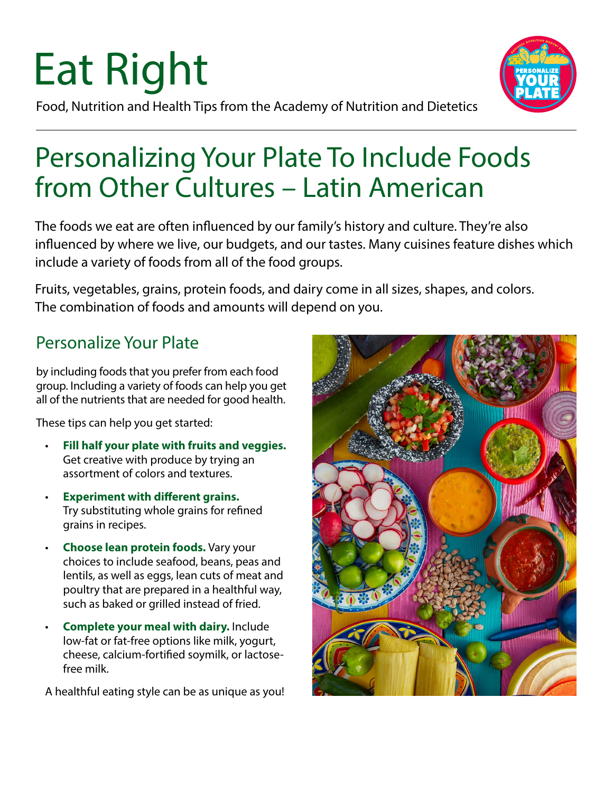# Eat Right



Food, Nutrition and Health Tips from the Academy of Nutrition and Dietetics

### Personalizing Your Plate To Include Foods from Other Cultures – Latin American

The foods we eat are often influenced by our family's history and culture. They're also influenced by where we live, our budgets, and our tastes. Many cuisines feature dishes which include a variety of foods from all of the food groups.

Fruits, vegetables, grains, protein foods, and dairy come in all sizes, shapes, and colors. The combination of foods and amounts will depend on you.

#### Personalize Your Plate

by including foods that you prefer from each food group. Including a variety of foods can help you get all of the nutrients that are needed for good health.

These tips can help you get started:

- **Fill half your plate with fruits and veggies.**  Get creative with produce by trying an assortment of colors and textures.
- **Experiment with different grains.**  Try substituting whole grains for refined grains in recipes.
- **Choose lean protein foods.** Vary your choices to include seafood, beans, peas and lentils, as well as eggs, lean cuts of meat and poultry that are prepared in a healthful way, such as baked or grilled instead of fried.
- **Complete your meal with dairy.** Include low-fat or fat-free options like milk, yogurt, cheese, calcium-fortified soymilk, or lactosefree milk.

A healthful eating style can be as unique as you!